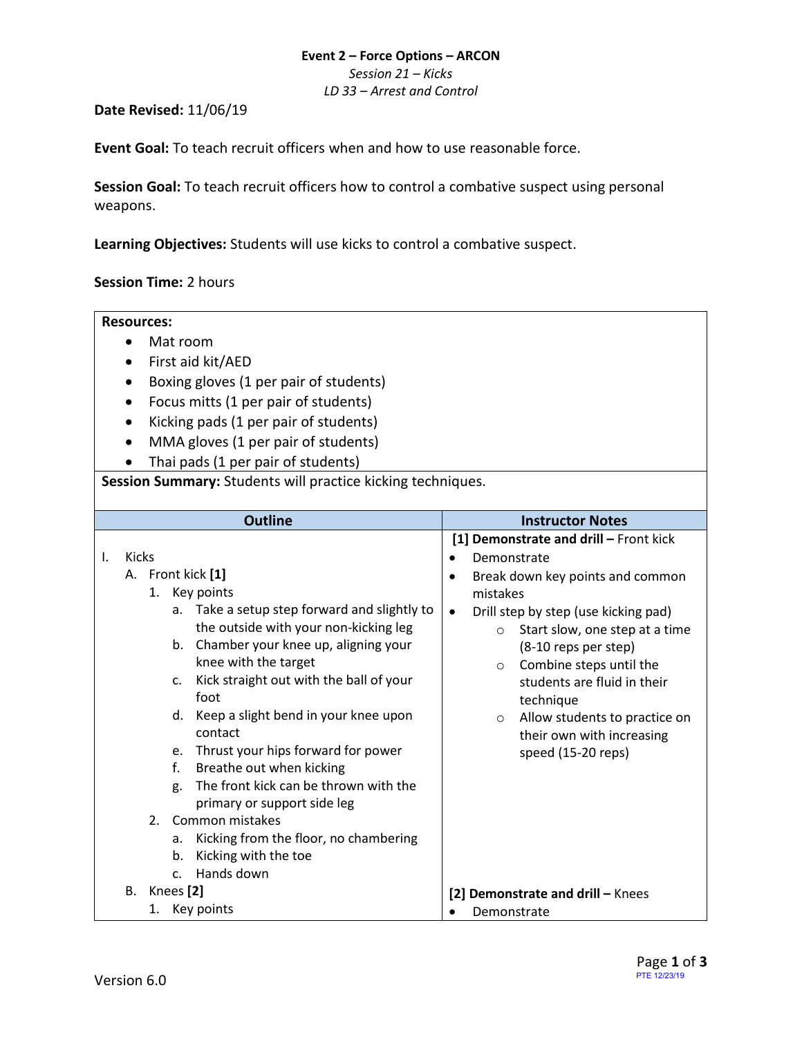# **Event 2 – Force Options – ARCON**

*Session 21 – Kicks*

*LD 33 – Arrest and Control*

# **Date Revised:** 11/06/19

**Event Goal:** To teach recruit officers when and how to use reasonable force.

**Session Goal:** To teach recruit officers how to control a combative suspect using personal weapons.

**Learning Objectives:** Students will use kicks to control a combative suspect.

# **Session Time:** 2 hours

#### **Resources:**

- Mat room
- First aid kit/AED
- Boxing gloves (1 per pair of students)
- Focus mitts (1 per pair of students)
- Kicking pads (1 per pair of students)
- MMA gloves (1 per pair of students)
- Thai pads (1 per pair of students)

# **Session Summary:** Students will practice kicking techniques.

| <b>Outline</b>                                                                                                                                                                                                                                                                                                                                                                                                                                                                                                                                                                                                                               | <b>Instructor Notes</b>                                                                                                                                                                                                                                                                                                                                                                                                       |
|----------------------------------------------------------------------------------------------------------------------------------------------------------------------------------------------------------------------------------------------------------------------------------------------------------------------------------------------------------------------------------------------------------------------------------------------------------------------------------------------------------------------------------------------------------------------------------------------------------------------------------------------|-------------------------------------------------------------------------------------------------------------------------------------------------------------------------------------------------------------------------------------------------------------------------------------------------------------------------------------------------------------------------------------------------------------------------------|
| Kicks<br>Ι.<br>A. Front kick [1]<br>1. Key points<br>Take a setup step forward and slightly to<br>a.<br>the outside with your non-kicking leg<br>Chamber your knee up, aligning your<br>b.<br>knee with the target<br>Kick straight out with the ball of your<br>$C_{\cdot}$<br>foot<br>d. Keep a slight bend in your knee upon<br>contact<br>Thrust your hips forward for power<br>e.<br>f.<br>Breathe out when kicking<br>The front kick can be thrown with the<br>g.<br>primary or support side leg<br>2.<br>Common mistakes<br>Kicking from the floor, no chambering<br>a.<br>Kicking with the toe<br>b.<br>Hands down<br>C <sub>1</sub> | [1] Demonstrate and drill - Front kick<br>Demonstrate<br>Break down key points and common<br>$\bullet$<br>mistakes<br>Drill step by step (use kicking pad)<br>$\bullet$<br>Start slow, one step at a time<br>$\circ$<br>(8-10 reps per step)<br>Combine steps until the<br>$\circ$<br>students are fluid in their<br>technique<br>Allow students to practice on<br>$\circ$<br>their own with increasing<br>speed (15-20 reps) |
| В.<br>Knees [2]                                                                                                                                                                                                                                                                                                                                                                                                                                                                                                                                                                                                                              | [2] Demonstrate and drill - Knees                                                                                                                                                                                                                                                                                                                                                                                             |
| Key points<br>1.                                                                                                                                                                                                                                                                                                                                                                                                                                                                                                                                                                                                                             | Demonstrate                                                                                                                                                                                                                                                                                                                                                                                                                   |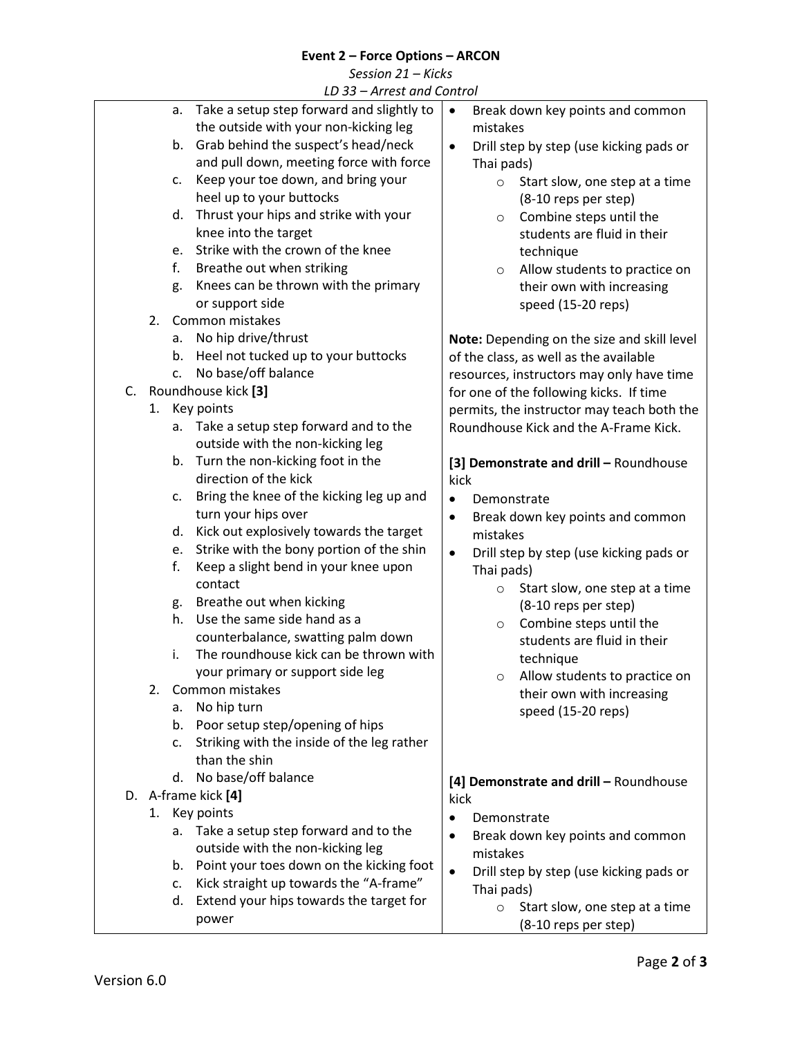# **Event 2 – Force Options – ARCON**

| Session 21 - Kicks |  |  |
|--------------------|--|--|
|--------------------|--|--|

|  |  |  | LD 33 – Arrest and Control |
|--|--|--|----------------------------|
|  |  |  |                            |

| LD 33 – Arrest and Control                       |                                                      |
|--------------------------------------------------|------------------------------------------------------|
| Take a setup step forward and slightly to<br>a.  | $\bullet$<br>Break down key points and common        |
| the outside with your non-kicking leg            | mistakes                                             |
| Grab behind the suspect's head/neck<br>b.        | Drill step by step (use kicking pads or<br>$\bullet$ |
| and pull down, meeting force with force          |                                                      |
|                                                  | Thai pads)                                           |
| Keep your toe down, and bring your<br>c.         | Start slow, one step at a time<br>$\circ$            |
| heel up to your buttocks                         | (8-10 reps per step)                                 |
| Thrust your hips and strike with your<br>d.      | Combine steps until the<br>$\circ$                   |
| knee into the target                             | students are fluid in their                          |
| Strike with the crown of the knee<br>e.          | technique                                            |
| f.<br>Breathe out when striking                  | Allow students to practice on<br>$\circ$             |
| Knees can be thrown with the primary             |                                                      |
| g.                                               | their own with increasing                            |
| or support side                                  | speed (15-20 reps)                                   |
| 2.<br>Common mistakes                            |                                                      |
| No hip drive/thrust<br>а.                        | Note: Depending on the size and skill level          |
| Heel not tucked up to your buttocks<br>b.        | of the class, as well as the available               |
| No base/off balance<br>c.                        | resources, instructors may only have time            |
| Roundhouse kick [3]<br>C.                        | for one of the following kicks. If time              |
| Key points<br>1.                                 | permits, the instructor may teach both the           |
|                                                  |                                                      |
| Take a setup step forward and to the<br>а.       | Roundhouse Kick and the A-Frame Kick.                |
| outside with the non-kicking leg                 |                                                      |
| Turn the non-kicking foot in the<br>b.           | [3] Demonstrate and drill - Roundhouse               |
| direction of the kick                            | kick                                                 |
| Bring the knee of the kicking leg up and<br>c.   | Demonstrate<br>$\bullet$                             |
| turn your hips over                              | $\bullet$                                            |
| Kick out explosively towards the target<br>d.    | Break down key points and common                     |
|                                                  | mistakes                                             |
| Strike with the bony portion of the shin<br>e.   | Drill step by step (use kicking pads or<br>$\bullet$ |
| Keep a slight bend in your knee upon<br>f.       | Thai pads)                                           |
| contact                                          | Start slow, one step at a time<br>$\circ$            |
| Breathe out when kicking<br>g.                   | (8-10 reps per step)                                 |
| Use the same side hand as a<br>h.                | Combine steps until the<br>$\circ$                   |
| counterbalance, swatting palm down               | students are fluid in their                          |
| The roundhouse kick can be thrown with<br>i.     |                                                      |
| your primary or support side leg                 | technique                                            |
| Common mistakes<br>2.                            | Allow students to practice on                        |
|                                                  | their own with increasing                            |
| No hip turn<br>а.                                | speed (15-20 reps)                                   |
| b. Poor setup step/opening of hips               |                                                      |
| Striking with the inside of the leg rather<br>c. |                                                      |
| than the shin                                    |                                                      |
| No base/off balance<br>d.                        | [4] Demonstrate and drill - Roundhouse               |
| D. A-frame kick [4]                              | kick                                                 |
| 1. Key points                                    |                                                      |
|                                                  | Demonstrate<br>$\bullet$                             |
| Take a setup step forward and to the<br>а.       | Break down key points and common<br>$\bullet$        |
| outside with the non-kicking leg                 | mistakes                                             |
| b. Point your toes down on the kicking foot      | Drill step by step (use kicking pads or<br>$\bullet$ |
| Kick straight up towards the "A-frame"<br>c.     | Thai pads)                                           |
| Extend your hips towards the target for<br>d.    | Start slow, one step at a time<br>$\circ$            |
| power                                            |                                                      |
|                                                  | (8-10 reps per step)                                 |